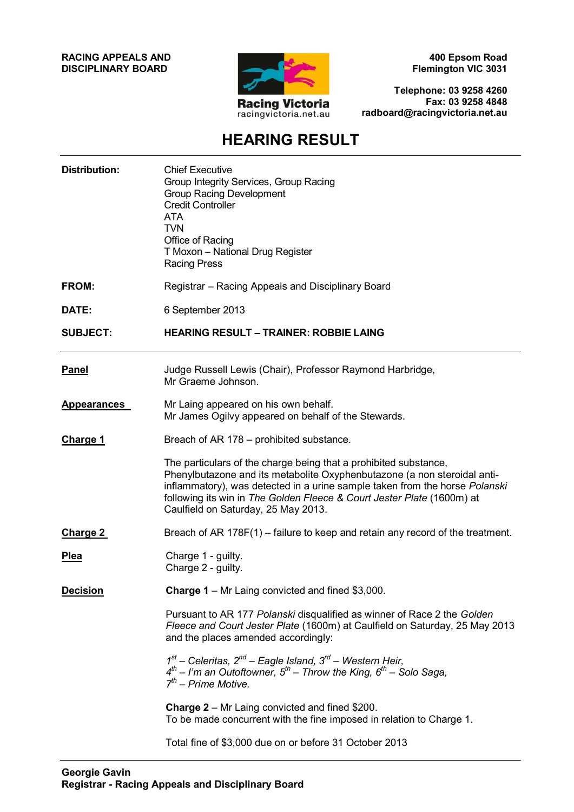#### **RACING APPEALS AND DISCIPLINARY BOARD**



**400 Epsom Road Flemington VIC 3031**

**Telephone: 03 9258 4260 Fax: 03 9258 4848 radboard@racingvictoria.net.au**

## **HEARING RESULT**

| <b>Distribution:</b> | <b>Chief Executive</b><br>Group Integrity Services, Group Racing<br><b>Group Racing Development</b><br><b>Credit Controller</b><br><b>ATA</b><br><b>TVN</b><br>Office of Racing<br>T Moxon - National Drug Register<br><b>Racing Press</b>                                                                                                   |
|----------------------|----------------------------------------------------------------------------------------------------------------------------------------------------------------------------------------------------------------------------------------------------------------------------------------------------------------------------------------------|
| FROM:                | Registrar - Racing Appeals and Disciplinary Board                                                                                                                                                                                                                                                                                            |
| DATE:                | 6 September 2013                                                                                                                                                                                                                                                                                                                             |
| <b>SUBJECT:</b>      | <b>HEARING RESULT - TRAINER: ROBBIE LAING</b>                                                                                                                                                                                                                                                                                                |
| <b>Panel</b>         | Judge Russell Lewis (Chair), Professor Raymond Harbridge,<br>Mr Graeme Johnson.                                                                                                                                                                                                                                                              |
| <b>Appearances</b>   | Mr Laing appeared on his own behalf.<br>Mr James Ogilvy appeared on behalf of the Stewards.                                                                                                                                                                                                                                                  |
| <b>Charge 1</b>      | Breach of AR 178 – prohibited substance.                                                                                                                                                                                                                                                                                                     |
|                      | The particulars of the charge being that a prohibited substance,<br>Phenylbutazone and its metabolite Oxyphenbutazone (a non steroidal anti-<br>inflammatory), was detected in a urine sample taken from the horse Polanski<br>following its win in The Golden Fleece & Court Jester Plate (1600m) at<br>Caulfield on Saturday, 25 May 2013. |
| Charge 2             | Breach of AR 178F(1) – failure to keep and retain any record of the treatment.                                                                                                                                                                                                                                                               |
| <b>Plea</b>          | Charge 1 - guilty.<br>Charge 2 - guilty.                                                                                                                                                                                                                                                                                                     |
| <b>Decision</b>      | <b>Charge 1</b> – Mr Laing convicted and fined \$3,000.                                                                                                                                                                                                                                                                                      |
|                      | Pursuant to AR 177 Polanski disqualified as winner of Race 2 the Golden<br>Fleece and Court Jester Plate (1600m) at Caulfield on Saturday, 25 May 2013<br>and the places amended accordingly:                                                                                                                                                |
|                      | $1st$ – Celeritas, $2nd$ – Eagle Island, $3rd$ – Western Heir,<br>$4^{th}$ – I'm an Outoftowner, $5^{th}$ – Throw the King, $6^{th}$ – Solo Saga,<br>$7^{th}$ – Prime Motive.                                                                                                                                                                |
|                      | <b>Charge 2</b> – Mr Laing convicted and fined \$200.<br>To be made concurrent with the fine imposed in relation to Charge 1.                                                                                                                                                                                                                |
|                      | Total fine of \$3,000 due on or before 31 October 2013                                                                                                                                                                                                                                                                                       |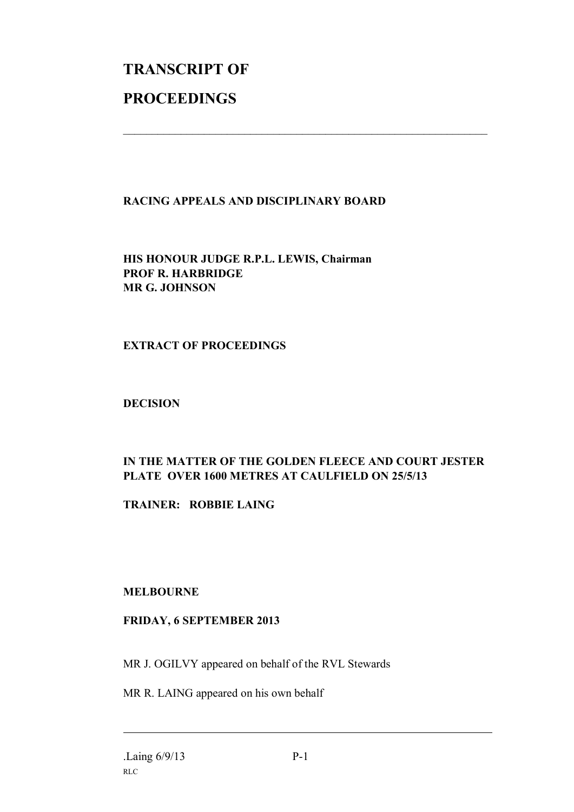# **TRANSCRIPT OF PROCEEDINGS**

#### **RACING APPEALS AND DISCIPLINARY BOARD**

 $\mathcal{L}_\text{max}$  , and the contribution of the contribution of the contribution of the contribution of the contribution of the contribution of the contribution of the contribution of the contribution of the contribution of t

**HIS HONOUR JUDGE R.P.L. LEWIS, Chairman PROF R. HARBRIDGE MR G. JOHNSON**

#### **EXTRACT OF PROCEEDINGS**

#### **DECISION**

### **IN THE MATTER OF THE GOLDEN FLEECE AND COURT JESTER PLATE OVER 1600 METRES AT CAULFIELD ON 25/5/13**

**TRAINER: ROBBIE LAING**

#### **MELBOURNE**

#### **FRIDAY, 6 SEPTEMBER 2013**

MR J. OGILVY appeared on behalf of the RVL Stewards

MR R. LAING appeared on his own behalf